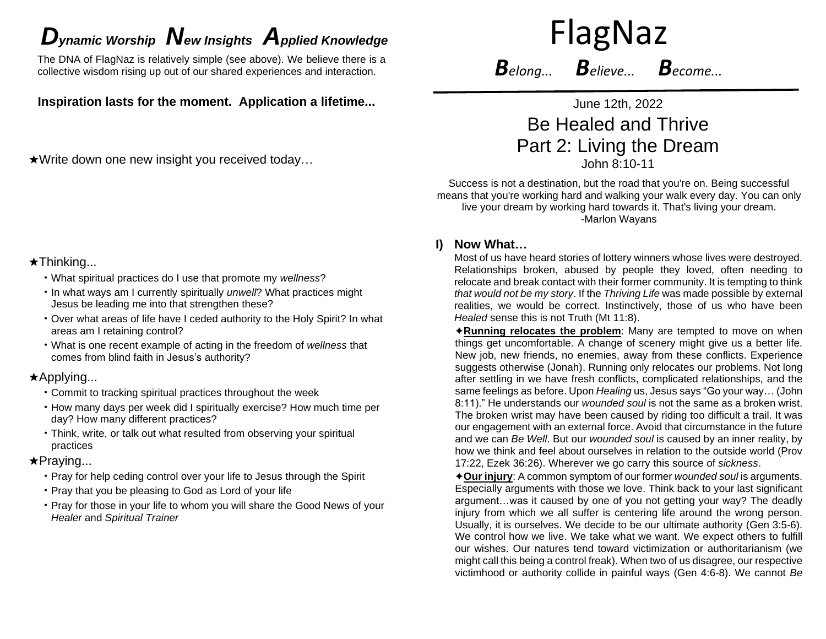# *D*<sub>*ynamic* Worship **N**ew Insights Applied Knowledge FlagNaz</sub>

The DNA of FlagNaz is relatively simple (see above). We believe there is a collective wisdom rising up out of our shared experiences and interaction.

**Inspiration lasts for the moment. Application a lifetime...**

★Write down one new insight you received today…

# ★Thinking...

- What spiritual practices do I use that promote my *wellness*?
- In what ways am I currently spiritually *unwell*? What practices might Jesus be leading me into that strengthen these?
- Over what areas of life have I ceded authority to the Holy Spirit? In what areas am I retaining control?
- What is one recent example of acting in the freedom of *wellness* that comes from blind faith in Jesus's authority?

### ★Applying...

- Commit to tracking spiritual practices throughout the week
- How many days per week did I spiritually exercise? How much time per day? How many different practices?
- Think, write, or talk out what resulted from observing your spiritual practices

### ★Praying...

- Pray for help ceding control over your life to Jesus through the Spirit
- Pray that you be pleasing to God as Lord of your life
- Pray for those in your life to whom you will share the Good News of your *Healer* and *Spiritual Trainer*

*Belong... Believe... Become...*

June 12th, 2022 Be Healed and Thrive Part 2: Living the Dream

John 8:10-11

Success is not a destination, but the road that you're on. Being successful means that you're working hard and walking your walk every day. You can only live your dream by working hard towards it. That's living your dream. -Marlon Wayans

## **I) Now What…**

Most of us have heard stories of lottery winners whose lives were destroyed. Relationships broken, abused by people they loved, often needing to relocate and break contact with their former community. It is tempting to think *that would not be my story*. If the *Thriving Life* was made possible by external realities, we would be correct. Instinctively, those of us who have been *Healed* sense this is not Truth (Mt 11:8).

✦**Running relocates the problem**: Many are tempted to move on when things get uncomfortable. A change of scenery might give us a better life. New job, new friends, no enemies, away from these conflicts. Experience suggests otherwise (Jonah). Running only relocates our problems. Not long after settling in we have fresh conflicts, complicated relationships, and the same feelings as before. Upon *Healing* us, Jesus says "Go your way… (John 8:11)." He understands our *wounded soul* is not the same as a broken wrist. The broken wrist may have been caused by riding too difficult a trail. It was our engagement with an external force. Avoid that circumstance in the future and we can *Be Well*. But our *wounded soul* is caused by an inner reality, by how we think and feel about ourselves in relation to the outside world (Prov 17:22, Ezek 36:26). Wherever we go carry this source of *sickness*.

✦**Our injury**: A common symptom of our former *wounded soul* is arguments. Especially arguments with those we love. Think back to your last significant argument…was it caused by one of you not getting your way? The deadly injury from which we all suffer is centering life around the wrong person. Usually, it is ourselves. We decide to be our ultimate authority (Gen 3:5-6). We control how we live. We take what we want. We expect others to fulfill our wishes. Our natures tend toward victimization or authoritarianism (we might call this being a control freak). When two of us disagree, our respective victimhood or authority collide in painful ways (Gen 4:6-8). We cannot *Be*